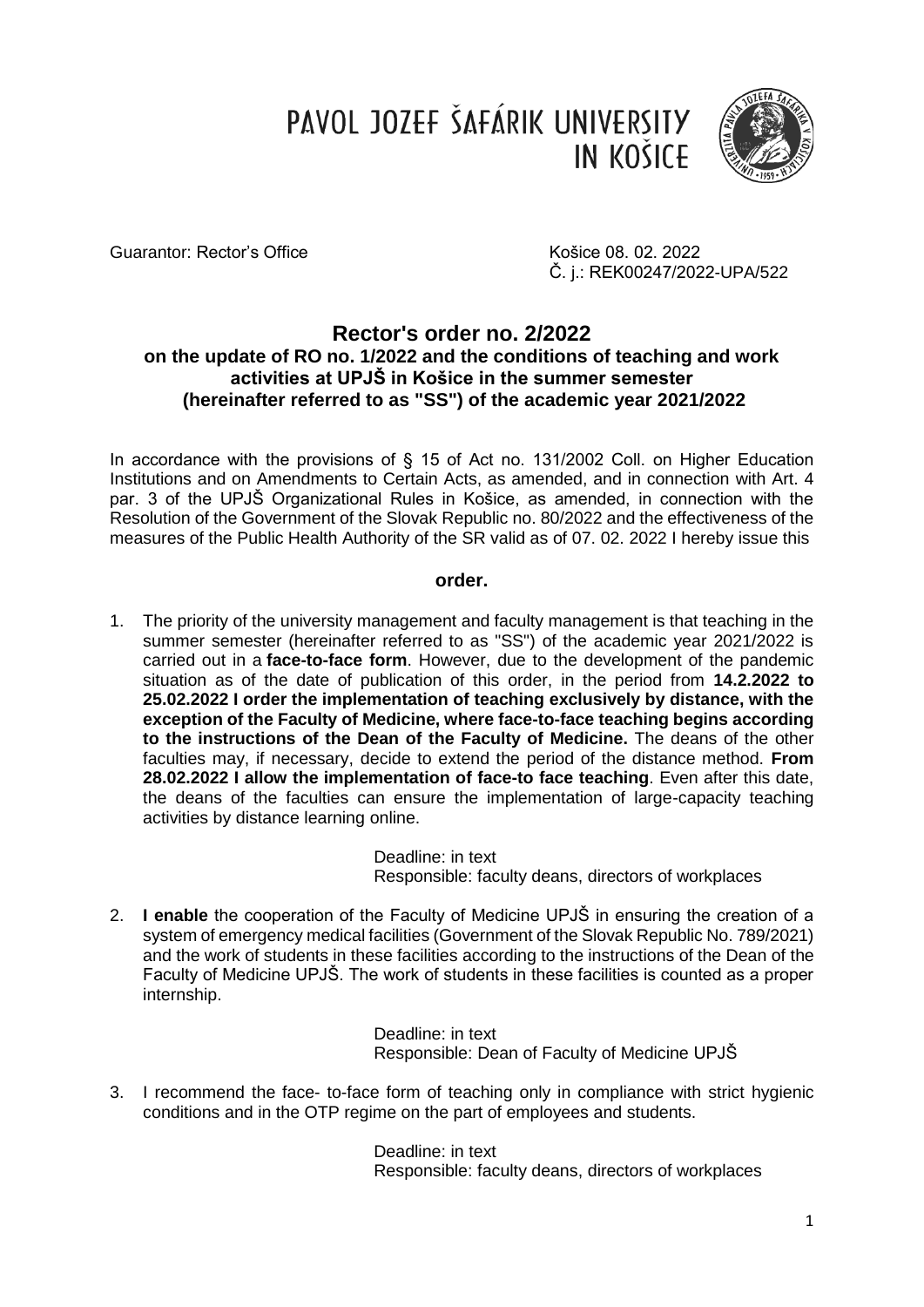PAVOL JOZEF ŠAFÁRIK UNIVERSITY **IN KOŠICE** 



Guarantor: Rector's Office **Košice 08. 02. 2022** 

Č. j.: REK00247/2022-UPA/522

## **Rector's order no. 2/2022 on the update of RO no. 1/2022 and the conditions of teaching and work activities at UPJŠ in Košice in the summer semester (hereinafter referred to as "SS") of the academic year 2021/2022**

In accordance with the provisions of § 15 of Act no. 131/2002 Coll. on Higher Education Institutions and on Amendments to Certain Acts, as amended, and in connection with Art. 4 par. 3 of the UPJŠ Organizational Rules in Košice, as amended, in connection with the Resolution of the Government of the Slovak Republic no. 80/2022 and the effectiveness of the measures of the Public Health Authority of the SR valid as of 07. 02. 2022 I hereby issue this

## **order.**

1. The priority of the university management and faculty management is that teaching in the summer semester (hereinafter referred to as "SS") of the academic year 2021/2022 is carried out in a **face-to-face form**. However, due to the development of the pandemic situation as of the date of publication of this order, in the period from **14.2.2022 to 25.02.2022 I order the implementation of teaching exclusively by distance, with the exception of the Faculty of Medicine, where face-to-face teaching begins according to the instructions of the Dean of the Faculty of Medicine.** The deans of the other faculties may, if necessary, decide to extend the period of the distance method. **From 28.02.2022 I allow the implementation of face-to face teaching**. Even after this date, the deans of the faculties can ensure the implementation of large-capacity teaching activities by distance learning online.

> Deadline: in text Responsible: faculty deans, directors of workplaces

2. **I enable** the cooperation of the Faculty of Medicine UPJŠ in ensuring the creation of a system of emergency medical facilities (Government of the Slovak Republic No. 789/2021) and the work of students in these facilities according to the instructions of the Dean of the Faculty of Medicine UPJŠ. The work of students in these facilities is counted as a proper internship.

> Deadline: in text Responsible: Dean of Faculty of Medicine UPJŠ

3. I recommend the face- to-face form of teaching only in compliance with strict hygienic conditions and in the OTP regime on the part of employees and students.

> Deadline: in text Responsible: faculty deans, directors of workplaces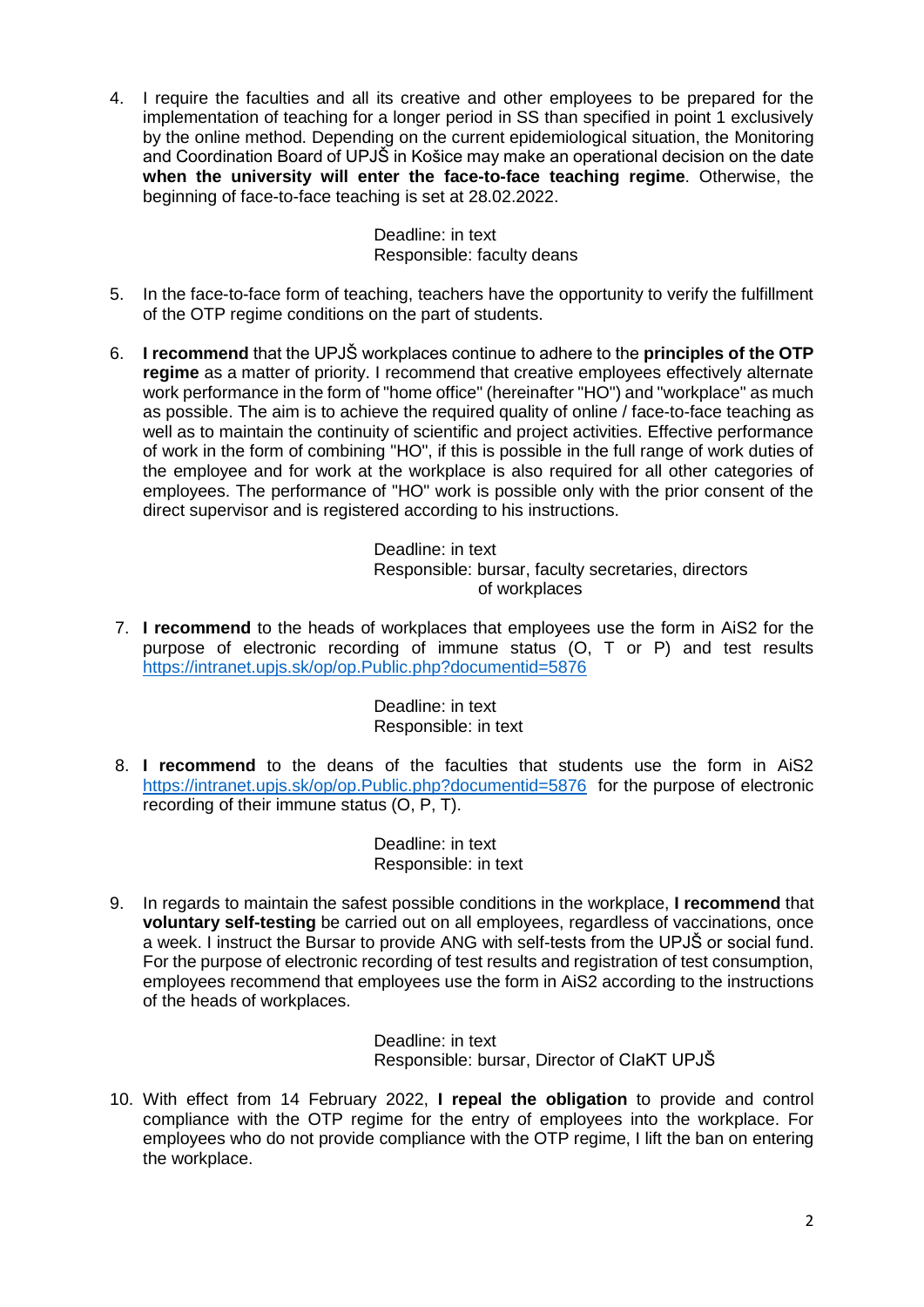4. I require the faculties and all its creative and other employees to be prepared for the implementation of teaching for a longer period in SS than specified in point 1 exclusively by the online method. Depending on the current epidemiological situation, the Monitoring and Coordination Board of UPJŠ in Košice may make an operational decision on the date **when the university will enter the face-to-face teaching regime**. Otherwise, the beginning of face-to-face teaching is set at 28.02.2022.

> Deadline: in text Responsible: faculty deans

- 5. In the face-to-face form of teaching, teachers have the opportunity to verify the fulfillment of the OTP regime conditions on the part of students.
- 6. **I recommend** that the UPJŠ workplaces continue to adhere to the **principles of the OTP regime** as a matter of priority. I recommend that creative employees effectively alternate work performance in the form of "home office" (hereinafter "HO") and "workplace" as much as possible. The aim is to achieve the required quality of online / face-to-face teaching as well as to maintain the continuity of scientific and project activities. Effective performance of work in the form of combining "HO", if this is possible in the full range of work duties of the employee and for work at the workplace is also required for all other categories of employees. The performance of "HO" work is possible only with the prior consent of the direct supervisor and is registered according to his instructions.

Deadline: in text Responsible: bursar, faculty secretaries, directors of workplaces

7. **I recommend** to the heads of workplaces that employees use the form in AiS2 for the purpose of electronic recording of immune status (O, T or P) and test results <https://intranet.upjs.sk/op/op.Public.php?documentid=5876>

> Deadline: in text Responsible: in text

8. **I recommend** to the deans of the faculties that students use the form in AiS2 <https://intranet.upjs.sk/op/op.Public.php?documentid=5876> for the purpose of electronic recording of their immune status (O, P, T).

> Deadline: in text Responsible: in text

9. In regards to maintain the safest possible conditions in the workplace, **I recommend** that **voluntary self-testing** be carried out on all employees, regardless of vaccinations, once a week. I instruct the Bursar to provide ANG with self-tests from the UPJŠ or social fund. For the purpose of electronic recording of test results and registration of test consumption, employees recommend that employees use the form in AiS2 according to the instructions of the heads of workplaces.

> Deadline: in text Responsible: bursar, Director of CIaKT UPJŠ

10. With effect from 14 February 2022, **I repeal the obligation** to provide and control compliance with the OTP regime for the entry of employees into the workplace. For employees who do not provide compliance with the OTP regime, I lift the ban on entering the workplace.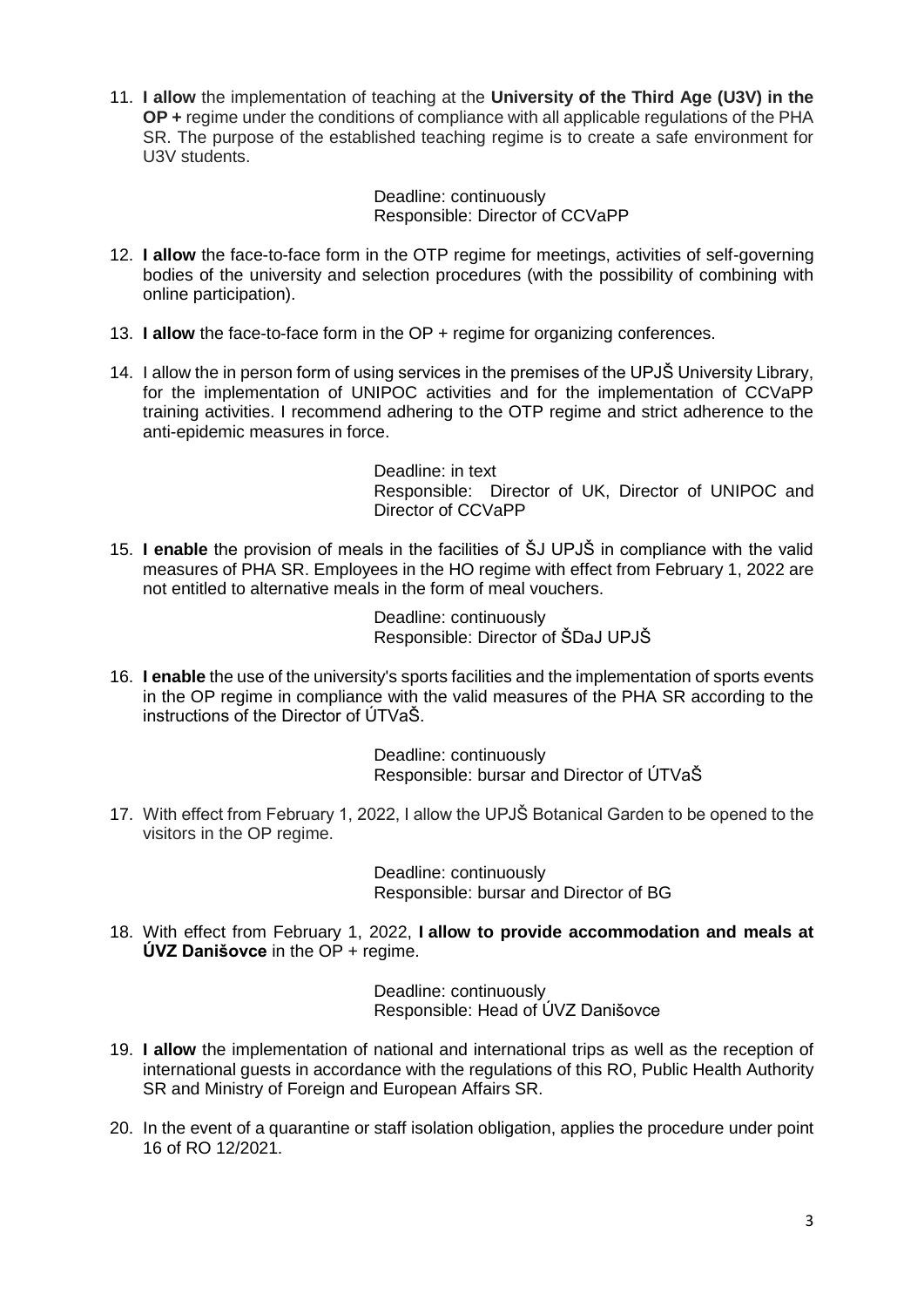11. **I allow** the implementation of teaching at the **University of the Third Age (U3V) in the OP +** regime under the conditions of compliance with all applicable regulations of the PHA SR. The purpose of the established teaching regime is to create a safe environment for U3V students.

> Deadline: continuously Responsible: Director of CCVaPP

- 12. **I allow** the face-to-face form in the OTP regime for meetings, activities of self-governing bodies of the university and selection procedures (with the possibility of combining with online participation).
- 13. **I allow** the face-to-face form in the OP + regime for organizing conferences.
- 14. I allow the in person form of using services in the premises of the UPJŠ University Library, for the implementation of UNIPOC activities and for the implementation of CCVaPP training activities. I recommend adhering to the OTP regime and strict adherence to the anti-epidemic measures in force.

Deadline: in text Responsible: Director of UK, Director of UNIPOC and Director of CCVaPP

15. **I enable** the provision of meals in the facilities of ŠJ UPJŠ in compliance with the valid measures of PHA SR. Employees in the HO regime with effect from February 1, 2022 are not entitled to alternative meals in the form of meal vouchers.

> Deadline: continuously Responsible: Director of ŠDaJ UPJŠ

16. **I enable** the use of the university's sports facilities and the implementation of sports events in the OP regime in compliance with the valid measures of the PHA SR according to the instructions of the Director of ÚTVaŠ.

> Deadline: continuously Responsible: bursar and Director of ÚTVaŠ

17. With effect from February 1, 2022, I allow the UPJŠ Botanical Garden to be opened to the visitors in the OP regime.

> Deadline: continuously Responsible: bursar and Director of BG

18. With effect from February 1, 2022, **I allow to provide accommodation and meals at ÚVZ Danišovce** in the OP + regime.

> Deadline: continuously Responsible: Head of ÚVZ Danišovce

- 19. **I allow** the implementation of national and international trips as well as the reception of international guests in accordance with the regulations of this RO, Public Health Authority SR and Ministry of Foreign and European Affairs SR.
- 20. In the event of a quarantine or staff isolation obligation, applies the procedure under point 16 of RO 12/2021.